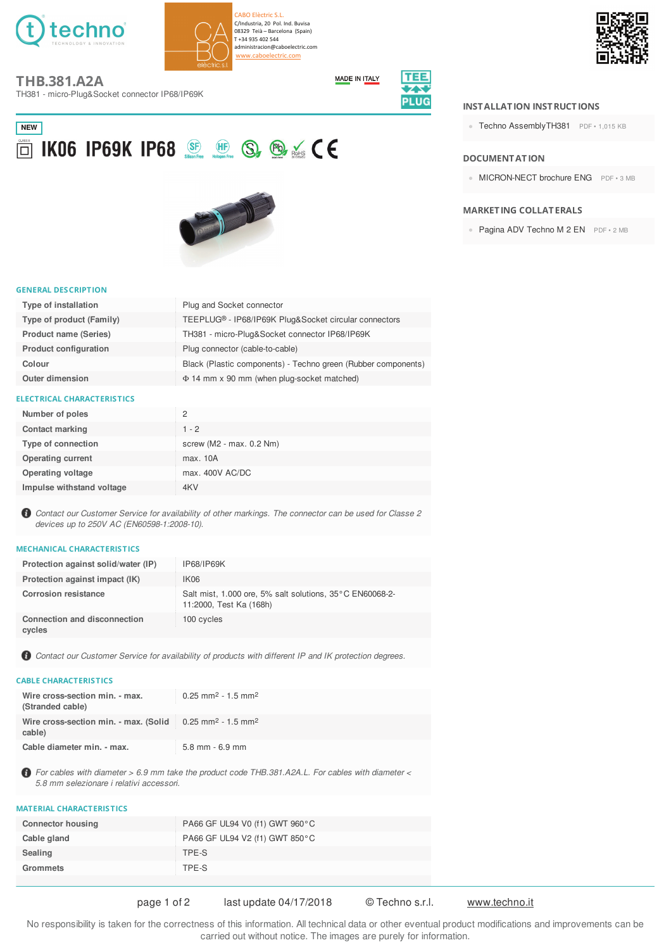

CARO Flèctric S.L. C/Industria, 20 Pol. Ind. Buvisa 08329 Teià - Barcelona (Spain) T+34 935 402 544 administracion@caboelectric.com aboelectric.com



**THB.381.A2A** 

TH381 - micro-Plug&Socket connector IP68/IP69K



# **NEW** O KO6 IP69K IP68 SE HE S, B & CE



#### **GENERAL DESCRIPTION**

| Type of installation         | Plug and Socket connector                                     |
|------------------------------|---------------------------------------------------------------|
| Type of product (Family)     | TEEPLUG® - IP68/IP69K Plug&Socket circular connectors         |
| <b>Product name (Series)</b> | TH381 - micro-Plug&Socket connector IP68/IP69K                |
| <b>Product configuration</b> | Plug connector (cable-to-cable)                               |
| Colour                       | Black (Plastic components) - Techno green (Rubber components) |
| <b>Outer dimension</b>       | $\Phi$ 14 mm x 90 mm (when plug-socket matched)               |

#### **ELECTRICAL CHARACTERISTICS**

| Number of poles           | 2                            |
|---------------------------|------------------------------|
| <b>Contact marking</b>    | $1 - 2$                      |
| Type of connection        | screw ( $M2 - max. 0.2 Nm$ ) |
| <b>Operating current</b>  | max. 10A                     |
| Operating voltage         | max. 400V AC/DC              |
| Impulse withstand voltage | 4KV                          |

Contact our Customer Service for availability of other markings. The connector can be used for Classe 2 devices up to 250V AC (EN60598-1:2008-10).

#### **MECHANICAL CHARACTERISTICS**

| Protection against solid/water (IP)           | IP68/IP69K                                                                          |
|-----------------------------------------------|-------------------------------------------------------------------------------------|
| Protection against impact (IK)                | IK <sub>06</sub>                                                                    |
| <b>Corrosion resistance</b>                   | Salt mist, 1.000 ore, 5% salt solutions, 35°C EN60068-2-<br>11:2000, Test Ka (168h) |
| <b>Connection and disconnection</b><br>cycles | 100 cycles                                                                          |

Contact our Customer Service for availability of products with different IP and IK protection degrees.

### **CABLE CHARACTERISTICS**

| Wire cross-section min. - max.<br>(Stranded cable)                                                   | $0.25$ mm <sup>2</sup> - 1.5 mm <sup>2</sup> |
|------------------------------------------------------------------------------------------------------|----------------------------------------------|
| Wire cross-section min. - max. (Solid $\approx 0.25$ mm <sup>2</sup> - 1.5 mm <sup>2</sup><br>cable) |                                              |
| Cable diameter min. - max.                                                                           | $5.8$ mm $-6.9$ mm                           |

**6** For cables with diameter > 6.9 mm take the product code THB.381.A2A.L. For cables with diameter < 5.8 mm selezionare i relativi accessori.

# **MATERIAL CHARACTERISTICS**

| <b>Connector housing</b> | PA66 GF UL94 V0 (f1) GWT 960°C |
|--------------------------|--------------------------------|
| Cable gland              | PA66 GF UL94 V2 (f1) GWT 850°C |
| Sealing                  | TPE-S                          |
| Grommets                 | TPE-S                          |
|                          |                                |

# page 1 of 2

last update 04/17/2018

© Techno s.r.l.

www.techno.it

No responsibility is taken for the correctness of this information. All technical data or other eventual product modifications and improvements can be carried out without notice. The images are purely for information.

#### **INSTALLATION INSTRUCTIONS**

• Techno AssemblyTH381 PDF · 1,015 KB

#### **DOCUMENT AT ION**

• MICRON-NECT brochure ENG PDF · 3 MB

#### **MARKETING COLLATERALS**

• Pagina ADV Techno M 2 EN PDF · 2 MB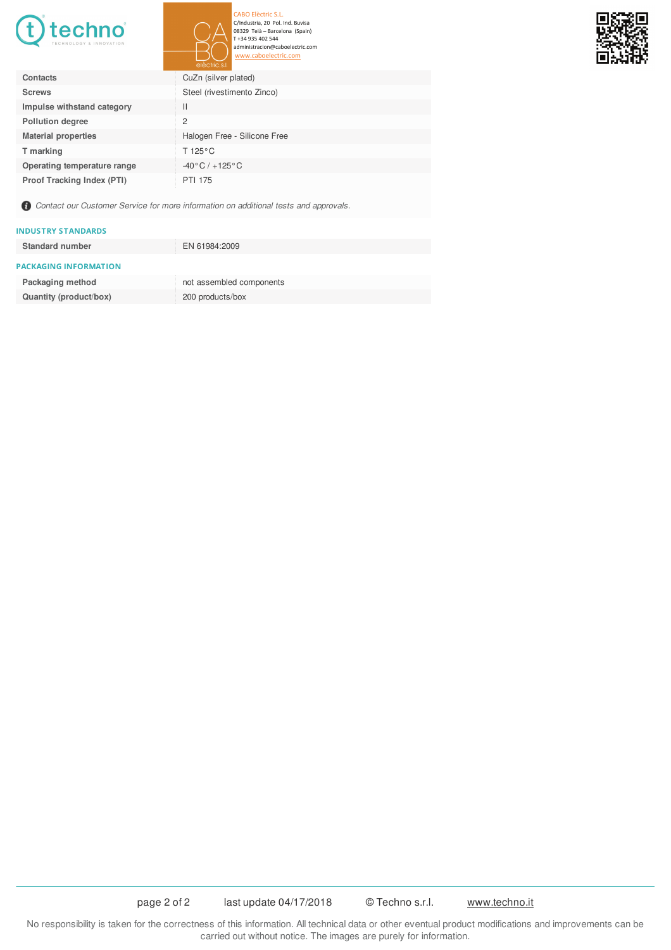

CABO Elèctric S.L.<br>C/Industria, 20 Pol. Ind. Buvisa<br>08329 Teià – Barcelona (Spain)<br>T +34 935 402 544<br>administracion@caboelectric.com caboelectric.com

| F<br>П | $\Rightarrow$ | П |
|--------|---------------|---|
| ۰.     |               | κ |
|        |               |   |
|        | ٠IJ<br>Œ.     | Ÿ |

|                                   | electric.s.l.                    |
|-----------------------------------|----------------------------------|
| Contacts                          | CuZn (silver plated)             |
| <b>Screws</b>                     | Steel (rivestimento Zinco)       |
| Impulse withstand category        | $\mathsf{I}$                     |
| <b>Pollution degree</b>           | 2                                |
| <b>Material properties</b>        | Halogen Free - Silicone Free     |
| T marking                         | T 125 $\degree$ C                |
| Operating temperature range       | $-40\degree C$ / $+125\degree C$ |
| <b>Proof Tracking Index (PTI)</b> | <b>PTI 175</b>                   |

Contact our Customer Service for more information on additional tests and approvals.

#### **INDUSTRY STANDARDS**

| <b>Standard number</b>       | EN 61984:2009            |
|------------------------------|--------------------------|
| <b>PACKAGING INFORMATION</b> |                          |
| Packaging method             | not assembled components |
| Quantity (product/box)       | 200 products/box         |

No responsibility is taken for the correctness of this information. All technical data or other eventual product modifications and improvements can be carried out without notice. The images are purely for information.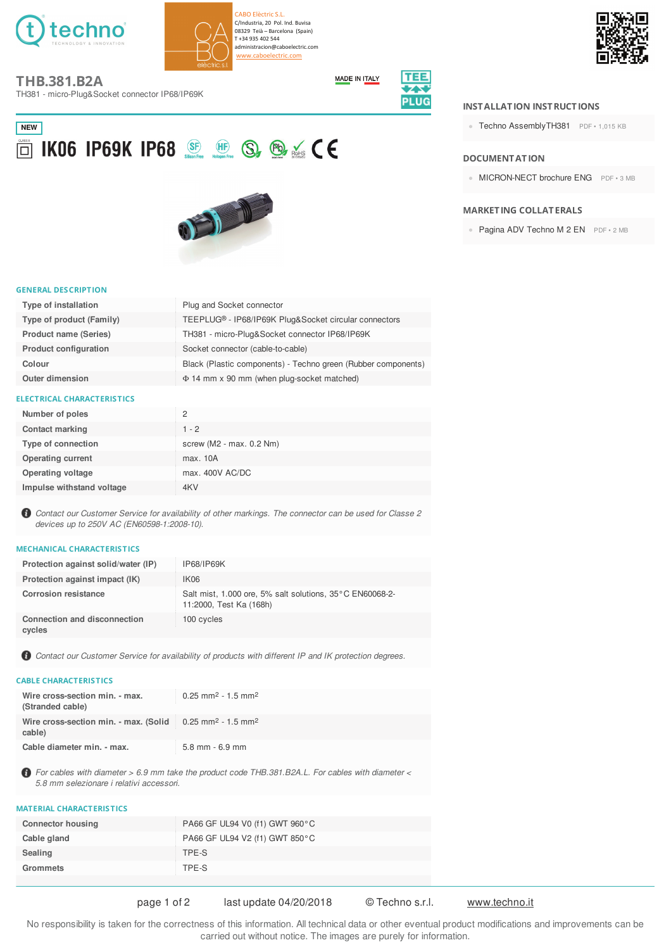

CARO Elèctric S.L. C/Industria, 20 Pol. Ind. Buvisa 08329 Teià - Barcelona (Spain) T +34 935 402 544 administracion@caboelectric.com w.caboelectric.com



# **THB.381.B2A**

TH381 - micro-Plug&Socket connector IP68/IP69K



# **NEW** O KO6 IP69K IP68 & B S & CE



#### **GENERAL DESCRIPTION**

| Type of installation         | Plug and Socket connector                                     |
|------------------------------|---------------------------------------------------------------|
| Type of product (Family)     | TEEPLUG® - IP68/IP69K Plug&Socket circular connectors         |
| <b>Product name (Series)</b> | TH381 - micro-Plug&Socket connector IP68/IP69K                |
| <b>Product configuration</b> | Socket connector (cable-to-cable)                             |
| Colour                       | Black (Plastic components) - Techno green (Rubber components) |
| <b>Outer dimension</b>       | $\Phi$ 14 mm x 90 mm (when plug-socket matched)               |

#### **ELECTRICAL CHARACTERISTICS**

| Number of poles           | 2                            |
|---------------------------|------------------------------|
| <b>Contact marking</b>    | $1 - 2$                      |
| Type of connection        | screw ( $M2 - max. 0.2 Nm$ ) |
| <b>Operating current</b>  | max. 10A                     |
| Operating voltage         | max. 400V AC/DC              |
| Impulse withstand voltage | 4KV                          |

Contact our Customer Service for availability of other markings. The connector can be used for Classe 2 devices up to 250V AC (EN60598-1:2008-10).

#### **MECHANICAL CHARACTERISTICS**

| Protection against solid/water (IP)           | IP68/IP69K                                                                          |
|-----------------------------------------------|-------------------------------------------------------------------------------------|
| Protection against impact (IK)                | IK <sub>06</sub>                                                                    |
| <b>Corrosion resistance</b>                   | Salt mist, 1.000 ore, 5% salt solutions, 35°C EN60068-2-<br>11:2000, Test Ka (168h) |
| <b>Connection and disconnection</b><br>cycles | 100 cycles                                                                          |

Contact our Customer Service for availability of products with different IP and IK protection degrees.

#### **CABLE CHARACTERISTICS**

| Wire cross-section min. - max.<br>(Stranded cable)                                                   | $0.25$ mm <sup>2</sup> - 1.5 mm <sup>2</sup> |
|------------------------------------------------------------------------------------------------------|----------------------------------------------|
| Wire cross-section min. - max. (Solid $\approx 0.25$ mm <sup>2</sup> - 1.5 mm <sup>2</sup><br>cable) |                                              |
| Cable diameter min. - max.                                                                           | $5.8$ mm $-6.9$ mm                           |

**6** For cables with diameter > 6.9 mm take the product code THB.381.B2A.L. For cables with diameter < 5.8 mm selezionare i relativi accessori.

## **MATERIAL CHARACTERISTICS**

| <b>Connector housing</b> | PA66 GF UL94 V0 (f1) GWT 960°C |
|--------------------------|--------------------------------|
| Cable gland              | PA66 GF UL94 V2 (f1) GWT 850°C |
| Sealing                  | TPE-S                          |
| Grommets                 | TPE-S                          |
|                          |                                |

# page 1 of 2

last update 04/20/2018

© Techno s.r.l.

www.techno.it

No responsibility is taken for the correctness of this information. All technical data or other eventual product modifications and improvements can be carried out without notice. The images are purely for information.

#### **INSTALLATION INSTRUCTIONS**

• Techno AssemblyTH381 PDF · 1,015 KB

#### **DOCUMENT AT ION**

• MICRON-NECT brochure ENG PDF · 3 MB

#### **MARKETING COLLATERALS**

• Pagina ADV Techno M 2 EN PDF · 2 MB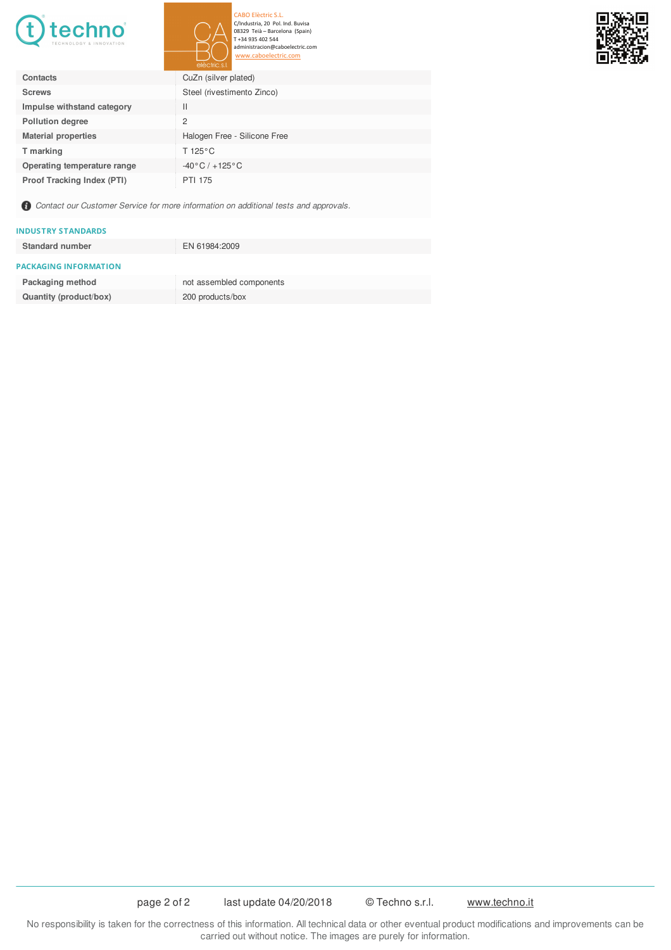

CABO Elèctric S.L.<br>C/Industria, 20 Pol. Ind. Buvisa<br>08329 Teià – Barcelona (Spain)<br>T +34 935 402 544 dministracion@caboelectric.com aboelectric.com

IП

|                                   | electric.s.l.                    |
|-----------------------------------|----------------------------------|
| Contacts                          | CuZn (silver plated)             |
| <b>Screws</b>                     | Steel (rivestimento Zinco)       |
| Impulse withstand category        | $\mathbf{H}$                     |
| <b>Pollution degree</b>           | 2                                |
| <b>Material properties</b>        | Halogen Free - Silicone Free     |
| T marking                         | T 125 $\degree$ C                |
| Operating temperature range       | $-40\degree C$ / $+125\degree C$ |
| <b>Proof Tracking Index (PTI)</b> | <b>PTI 175</b>                   |

Contact our Customer Service for more information on additional tests and approvals.

#### **INDUSTRY STANDARDS**

| <b>Standard number</b>       | EN 61984:2009            |
|------------------------------|--------------------------|
| <b>PACKAGING INFORMATION</b> |                          |
| Packaging method             | not assembled components |
| Quantity (product/box)       | 200 products/box         |

No responsibility is taken for the correctness of this information. All technical data or other eventual product modifications and improvements can be carried out without notice. The images are purely for information.